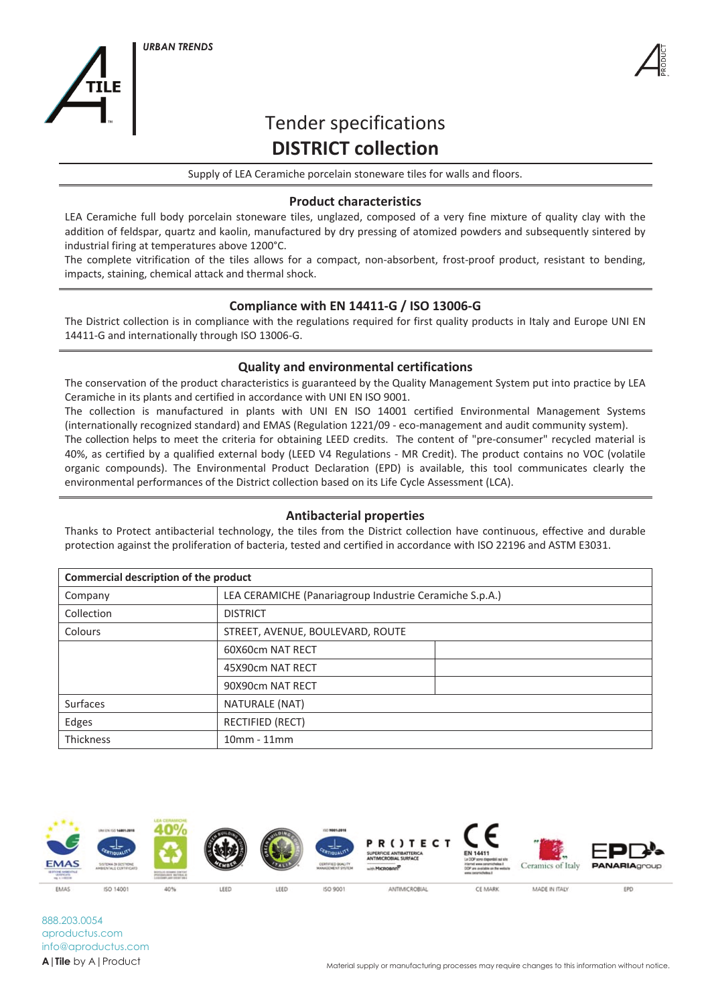



# **impact in the interval shock.** Tender specifications **COMPLICT COLLECTION**

Supply of LEA Ceramiche porcelain stoneware tiles for walls and floors.

#### **Product characteristics**  $14411$

LEA Ceramiche full body porcelain stoneware tiles, unglazed, composed of a very fine mixture of quality clay with the addition of feldspar, quartz and kaolin, manufactured by dry pressing of atomized powders and subsequently sintered by<br>industrial firing at temperatures above 1200°C industrial firing at temperatures above 1200°C.

The complete vitrification of the tiles allows for a compact, non-absorbent, frost-proof product, resistant to bending, impacts, staining, chemical attack and thermal shock.

### Compliance with EN 14411-G / ISO 13006-G The collection is manufactured in plants with UNI EN ISO 14001 certified Environmental Management Systems with UNI EN ISO 14001 certified Environmental Management Systems with UNI EN ISO 14001 certified Environmental Manag

The District collection is in compliance with the regulations required for first quality products in Italy and Europe UNI EN 14411-G and internationally through ISO 13006-G.

## **EXECUTE:** The Environmental certifications (EPD) is available, this tool compound  $\alpha$

The conservation of the product characteristics is guaranteed by the Quality Management System put into practice by LEA Ceramiche in its plants and certified in accordance with UNI EN ISO 9001.

The collection is manufactured in plants with UNI EN ISO 14001 certified Environmental Management Systems rne collection is manuractured in plants with only EN 130 14001 certified Environmental Management System).<br>(internationally recognized standard) and EMAS (Regulation 1221/09 - eco-management and audit community system).

The collection helps to meet the criteria for obtaining LEED credits. The content of "pre-consumer" recycled material is 40%, as certified by a qualified external body (LEED V4 Regulations - MR Credit). The product contains no VOC (volatile organic compounds). The Environmental Product Declaration (EPD) is available, this tool communicates clearly the<br>continuous and notice weapons of the District collection beand on its life Guals Assessment (LGA). environmental performances of the District collection based on its Life Cycle Assessment (LCA).

### **Antibacterial properties**

Thanks to Protect antibacterial technology, the tiles from the District collection have continuous, effective and durable protection against the proliferation of bacteria, tested and certified in accordance with ISO 22196 and ASTM E3031.

| Company    | LEA CERAMICHE (Panariagroup Industrie Ceramiche S.p.A.) |  |  |  |
|------------|---------------------------------------------------------|--|--|--|
| Collection | <b>DISTRICT</b>                                         |  |  |  |
| Colours    | STREET, AVENUE, BOULEVARD, ROUTE                        |  |  |  |
|            | 60X60cm NAT RECT                                        |  |  |  |
|            | 45X90cm NAT RECT                                        |  |  |  |
|            | 90X90cm NAT RECT                                        |  |  |  |
| Surfaces   | NATURALE (NAT)                                          |  |  |  |
| Edges      | <b>RECTIFIED (RECT)</b>                                 |  |  |  |
| Thickness  | $10mm - 11mm$                                           |  |  |  |